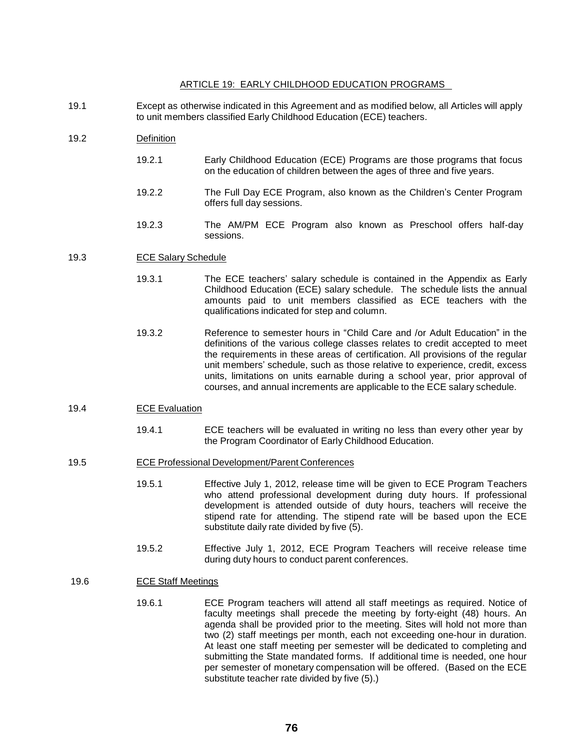### ARTICLE 19: EARLY CHILDHOOD EDUCATION PROGRAMS

19.1 Except as otherwise indicated in this Agreement and as modified below, all Articles will apply to unit members classified Early Childhood Education (ECE) teachers.

# 19.2 Definition

- 19.2.1 Early Childhood Education (ECE) Programs are those programs that focus on the education of children between the ages of three and five years.
- 19.2.2 The Full Day ECE Program, also known as the Children's Center Program offers full day sessions.
- 19.2.3 The AM/PM ECE Program also known as Preschool offers half-day sessions.

### 19.3 ECE Salary Schedule

- 19.3.1 The ECE teachers' salary schedule is contained in the Appendix as Early Childhood Education (ECE) salary schedule. The schedule lists the annual amounts paid to unit members classified as ECE teachers with the qualifications indicated for step and column.
- 19.3.2 Reference to semester hours in "Child Care and /or Adult Education" in the definitions of the various college classes relates to credit accepted to meet the requirements in these areas of certification. All provisions of the regular unit members' schedule, such as those relative to experience, credit, excess units, limitations on units earnable during a school year, prior approval of courses, and annual increments are applicable to the ECE salary schedule.

# 19.4 ECE Evaluation

19.4.1 ECE teachers will be evaluated in writing no less than every other year by the Program Coordinator of Early Childhood Education.

### 19.5 ECE Professional Development/Parent Conferences

- 19.5.1 Effective July 1, 2012, release time will be given to ECE Program Teachers who attend professional development during duty hours. If professional development is attended outside of duty hours, teachers will receive the stipend rate for attending. The stipend rate will be based upon the ECE substitute daily rate divided by five (5).
- 19.5.2 Effective July 1, 2012, ECE Program Teachers will receive release time during duty hours to conduct parent conferences.

### 19.6 ECE Staff Meetings

19.6.1 ECE Program teachers will attend all staff meetings as required. Notice of faculty meetings shall precede the meeting by forty-eight (48) hours. An agenda shall be provided prior to the meeting. Sites will hold not more than two (2) staff meetings per month, each not exceeding one-hour in duration. At least one staff meeting per semester will be dedicated to completing and submitting the State mandated forms. If additional time is needed, one hour per semester of monetary compensation will be offered. (Based on the ECE substitute teacher rate divided by five (5).)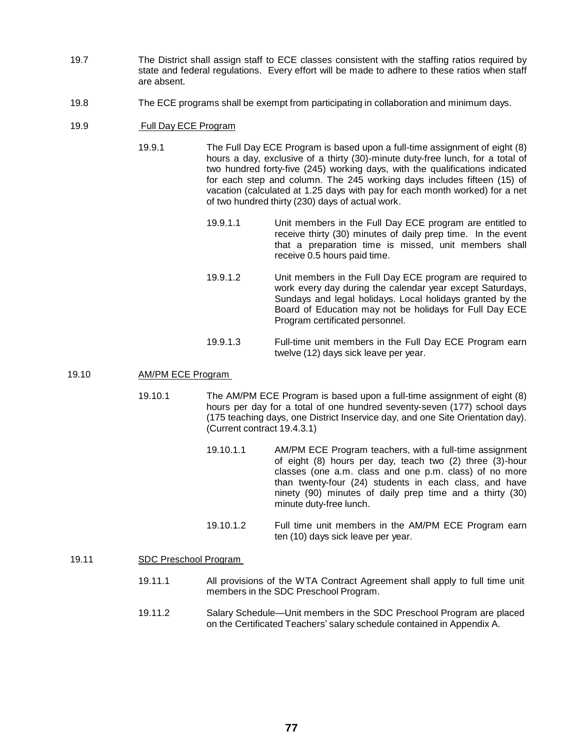- 19.7 The District shall assign staff to ECE classes consistent with the staffing ratios required by state and federal regulations. Every effort will be made to adhere to these ratios when staff are absent.
- 19.8 The ECE programs shall be exempt from participating in collaboration and minimum days.

# 19.9 Full Day ECE Program

- 19.9.1 The Full Day ECE Program is based upon a full-time assignment of eight (8) hours a day, exclusive of a thirty (30)-minute duty-free lunch, for a total of two hundred forty-five (245) working days, with the qualifications indicated for each step and column. The 245 working days includes fifteen (15) of vacation (calculated at 1.25 days with pay for each month worked) for a net of two hundred thirty (230) days of actual work.
	- 19.9.1.1 Unit members in the Full Day ECE program are entitled to receive thirty (30) minutes of daily prep time. In the event that a preparation time is missed, unit members shall receive 0.5 hours paid time.
	- 19.9.1.2 Unit members in the Full Day ECE program are required to work every day during the calendar year except Saturdays, Sundays and legal holidays. Local holidays granted by the Board of Education may not be holidays for Full Day ECE Program certificated personnel.
	- 19.9.1.3 Full-time unit members in the Full Day ECE Program earn twelve (12) days sick leave per year.

# 19.10 AM/PM ECE Program

- 19.10.1 The AM/PM ECE Program is based upon a full-time assignment of eight (8) hours per day for a total of one hundred seventy-seven (177) school days (175 teaching days, one District Inservice day, and one Site Orientation day). (Current contract 19.4.3.1)
	- 19.10.1.1 AM/PM ECE Program teachers, with a full-time assignment of eight (8) hours per day, teach two (2) three (3)-hour classes (one a.m. class and one p.m. class) of no more than twenty-four (24) students in each class, and have ninety (90) minutes of daily prep time and a thirty (30) minute duty-free lunch.
	- 19.10.1.2 Full time unit members in the AM/PM ECE Program earn ten (10) days sick leave per year.

### 19.11 SDC Preschool Program

- 19.11.1 All provisions of the WTA Contract Agreement shall apply to full time unit members in the SDC Preschool Program.
- 19.11.2 Salary Schedule—Unit members in the SDC Preschool Program are placed on the Certificated Teachers' salary schedule contained in Appendix A.